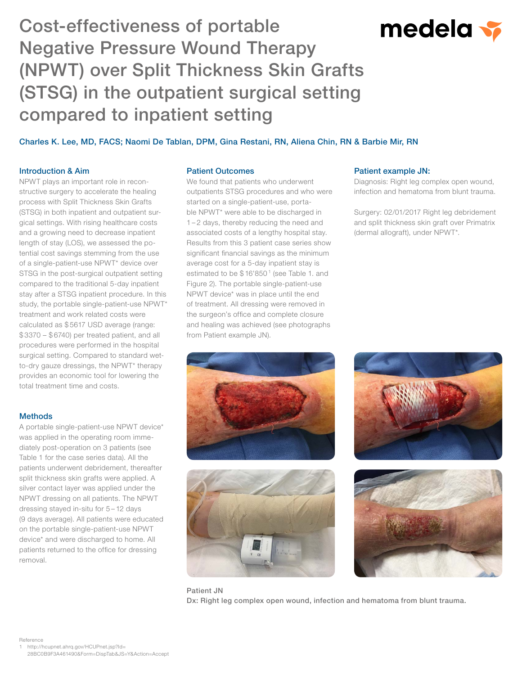# Cost-effectiveness of portable Negative Pressure Wound Therapy (NPWT) over Split Thickness Skin Grafts (STSG) in the outpatient surgical setting compared to inpatient setting

# medela v

Charles K. Lee, MD, FACS; Naomi De Tablan, DPM, Gina Restani, RN, Aliena Chin, RN & Barbie Mir, RN

### Introduction & Aim

NPWT plays an important role in reconstructive surgery to accelerate the healing process with Split Thickness Skin Grafts (STSG) in both inpatient and outpatient surgical settings. With rising healthcare costs and a growing need to decrease inpatient length of stay (LOS), we assessed the potential cost savings stemming from the use of a single-patient-use NPWT\* device over STSG in the post-surgical outpatient setting compared to the traditional 5-day inpatient stay after a STSG inpatient procedure. In this study, the portable single-patient-use NPWT\* treatment and work related costs were calculated as \$ 5617 USD average (range: \$ 3370 – \$ 6740) per treated patient, and all procedures were performed in the hospital surgical setting. Compared to standard wetto-dry gauze dressings, the NPWT\* therapy provides an economic tool for lowering the total treatment time and costs.

#### **Methods**

A portable single-patient-use NPWT device\* was applied in the operating room immediately post-operation on 3 patients (see Table 1 for the case series data). All the patients underwent debridement, thereafter split thickness skin grafts were applied. A silver contact layer was applied under the NPWT dressing on all patients. The NPWT dressing stayed in-situ for 5 – 12 days (9 days average). All patients were educated on the portable single-patient-use NPWT device\* and were discharged to home. All patients returned to the office for dressing removal.

#### Patient Outcomes

We found that patients who underwent outpatients STSG procedures and who were started on a single-patient-use, portable NPWT\* were able to be discharged in 1 – 2 days, thereby reducing the need and associated costs of a lengthy hospital stay. Results from this 3 patient case series show significant financial savings as the minimum average cost for a 5-day inpatient stay is estimated to be  $$16'850'$  (see Table 1. and Figure 2). The portable single-patient-use NPWT device\* was in place until the end of treatment. All dressing were removed in the surgeon's office and complete closure and healing was achieved (see photographs from Patient example JN).

#### Patient example JN:

Diagnosis: Right leg complex open wound, infection and hematoma from blunt trauma.

Surgery: 02/01/2017 Right leg debridement and split thickness skin graft over Primatrix (dermal allograft), under NPWT\*.









Patient JN Dx: Right leg complex open wound, infection and hematoma from blunt trauma.